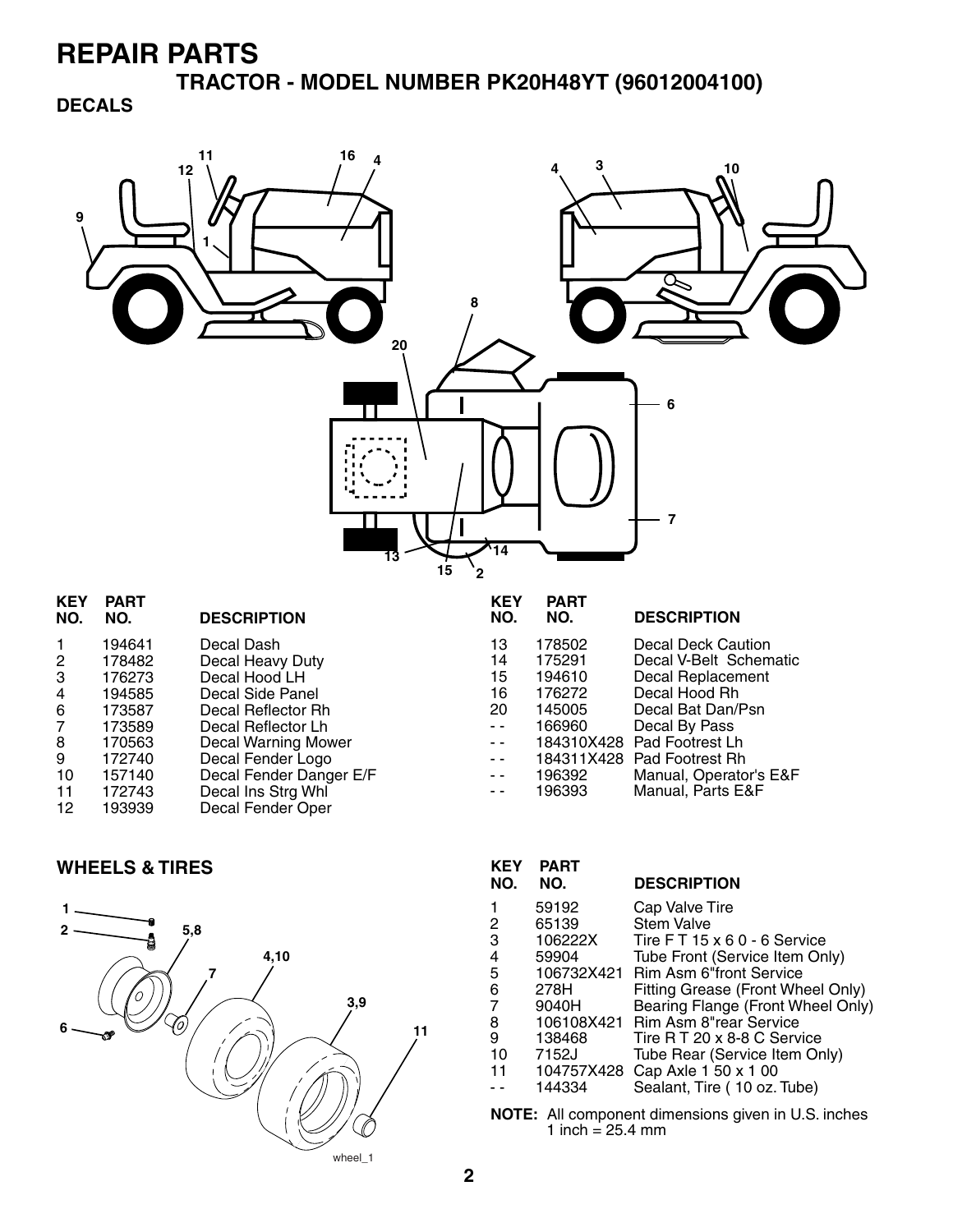**TRACTOR - MODEL NUMBER PK20H48YT (96012004100)**

#### **DECALS**



| <b>KEY</b><br>NO. | <b>PART</b><br>NO. | <b>DESCRIPTION</b>      | <b>KEY</b><br>NO. | <b>PART</b><br>NO. | <b>DESCRIPTION</b>         |
|-------------------|--------------------|-------------------------|-------------------|--------------------|----------------------------|
|                   | 194641             | Decal Dash              | 13                | 178502             | Decal Deck Caution         |
| $\overline{2}$    | 178482             | Decal Heavy Duty        | 14                | 175291             | Decal V-Belt Schematic     |
| 3                 | 176273             | Decal Hood LH           | 15                | 194610             | Decal Replacement          |
| 4                 | 194585             | Decal Side Panel        | 16                | 176272             | Decal Hood Rh              |
| 6                 | 173587             | Decal Reflector Rh      | 20                | 145005             | Decal Bat Dan/Psn          |
| 7                 | 173589             | Decal Reflector Lh      | $ -$              | 166960             | Decal By Pass              |
| 8                 | 170563             | Decal Warning Mower     | $\sim$ $\sim$     |                    | 184310X428 Pad Footrest Lh |
| 9                 | 172740             | Decal Fender Logo       | $ -$              |                    | 184311X428 Pad Footrest Rh |
| 10                | 157140             | Decal Fender Danger E/F | $\sim$ $\sim$     | 196392             | Manual, Operator's E&F     |
| 11                | 172743             | Decal Ins Strg Whl      | $ -$              | 196393             | Manual, Parts E&F          |
| 12                | 193939             | Decal Fender Oper       |                   |                    |                            |
|                   |                    |                         |                   |                    |                            |

#### **WHEELS & TIRES**



| <b>KEY</b><br>NO. | <b>PART</b><br>NO. | <b>DESCRIPTION</b>                |
|-------------------|--------------------|-----------------------------------|
|                   | 59192              | Cap Valve Tire                    |
| 2                 | 65139              | <b>Stem Valve</b>                 |
| 3                 | 106222X            | Tire FT 15 x 6 0 - 6 Service      |
| 4                 | 59904              | Tube Front (Service Item Only)    |
| 5                 | 106732X421         | <b>Rim Asm 6"front Service</b>    |
| 6                 | 278H               | Fitting Grease (Front Wheel Only) |
| 7                 | 9040H              | Bearing Flange (Front Wheel Only) |
| 8                 |                    | 106108X421 Rim Asm 8"rear Service |
| 9                 | 138468             | Tire R T 20 x 8-8 C Service       |
| 10                | 7152J              | Tube Rear (Service Item Only)     |
| 11                | 104757X428         | Cap Axle 1 50 x 1 00              |
|                   | 144334             | Sealant, Tire (10 oz. Tube)       |

**NOTE:** All component dimensions given in U.S. inches 1 inch = 25.4 mm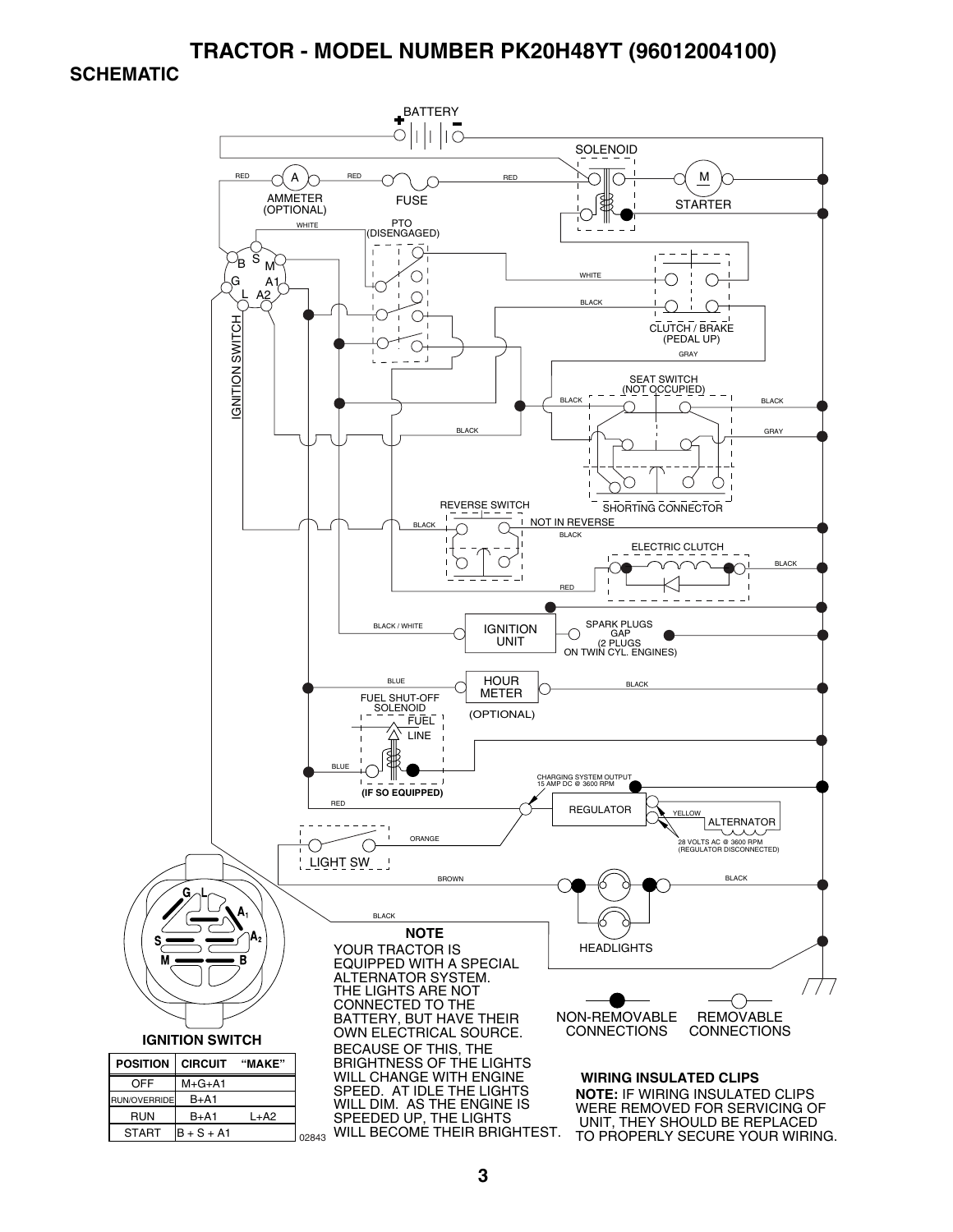#### **TRACTOR - MODEL NUMBER PK20H48YT (96012004100)**

#### **SCHEMATIC**

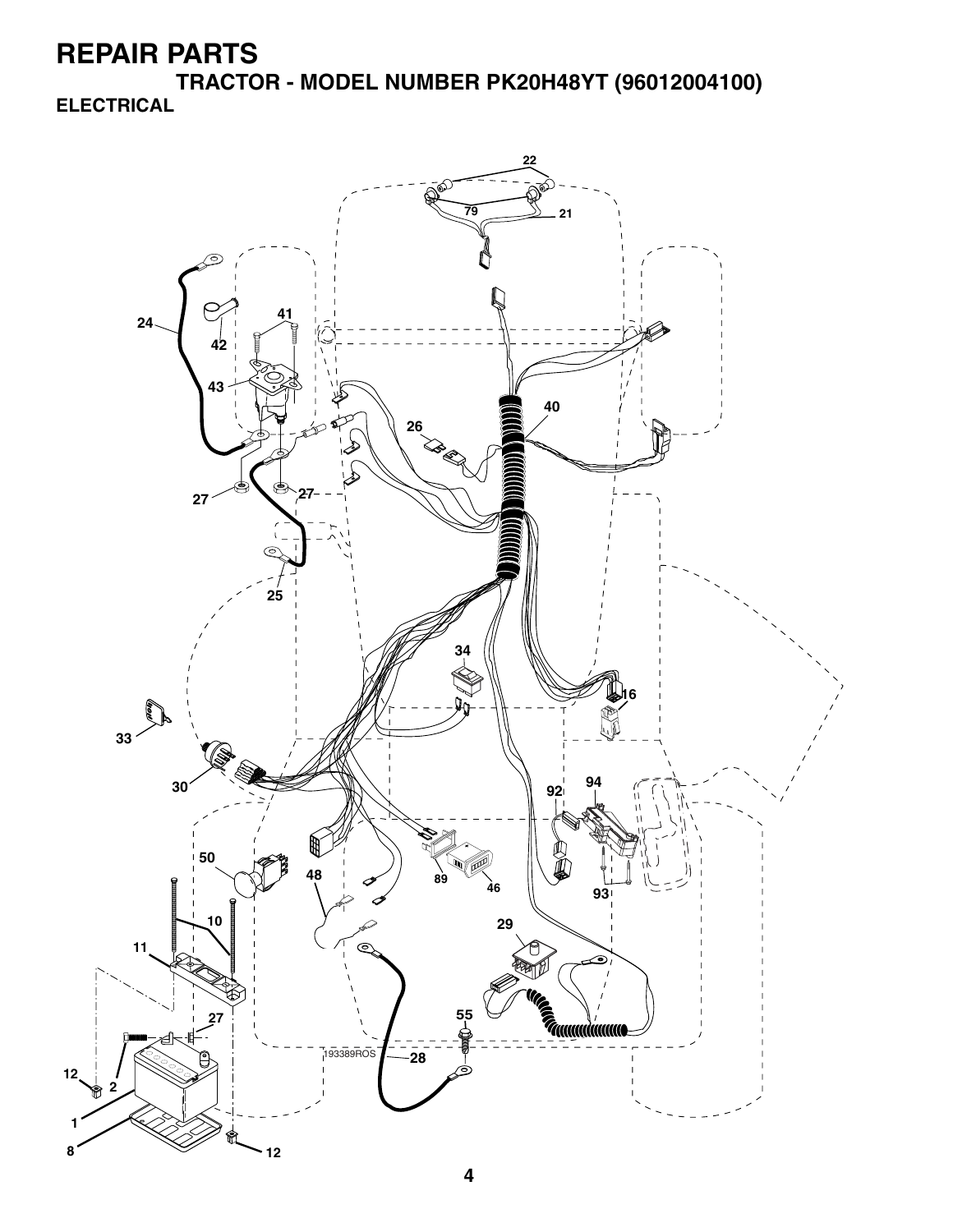**TRACTOR - MODEL NUMBER PK20H48YT (96012004100) ELECTRICAL**

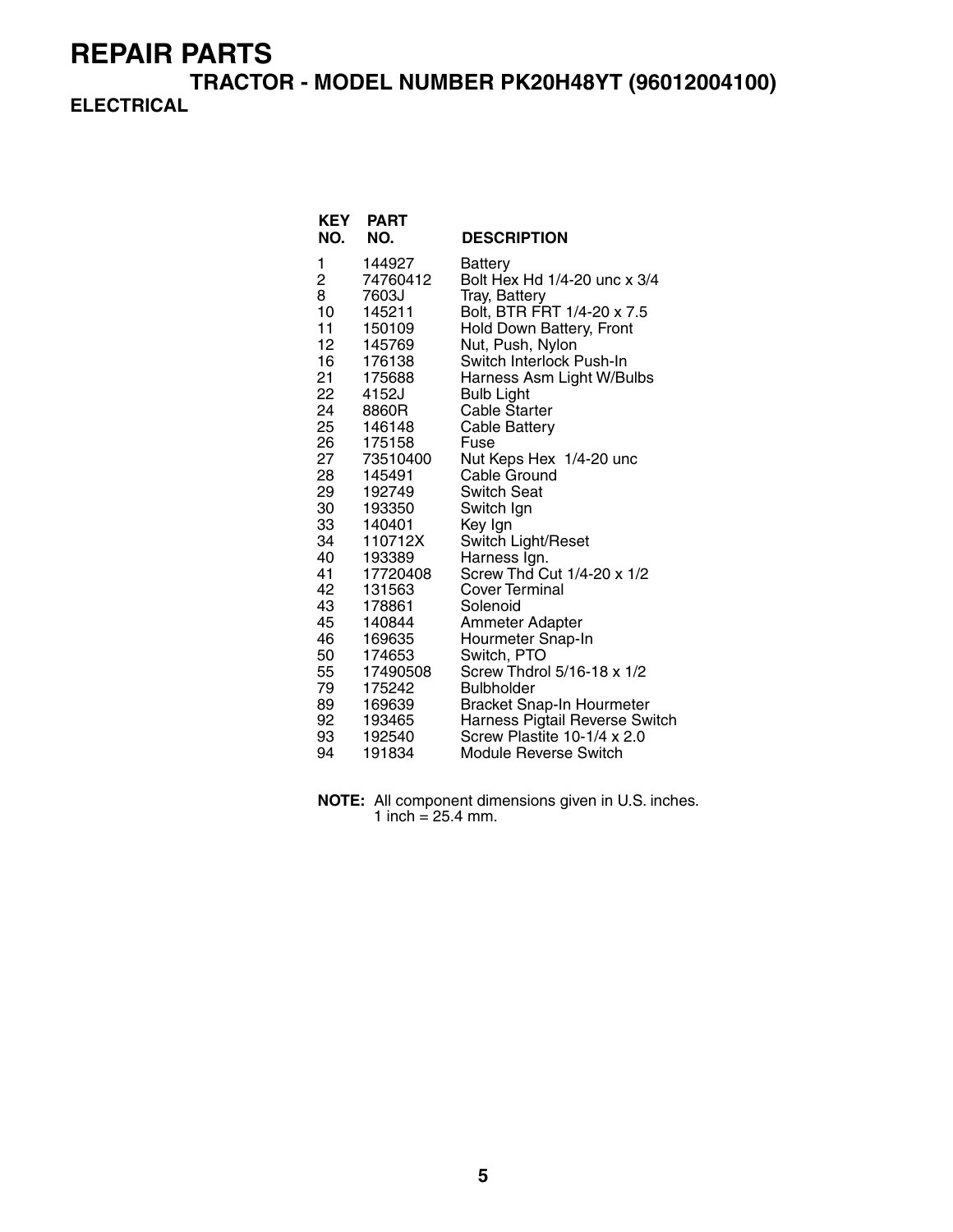**TRACTOR - MODEL NUMBER PK20H48YT (96012004100) ELECTRICAL**

| <b>KEY</b><br>NO.       | <b>PART</b><br>NO. | <b>DESCRIPTION</b>               |
|-------------------------|--------------------|----------------------------------|
| 1                       | 144927             | <b>Battery</b>                   |
| $\overline{\mathbf{c}}$ | 74760412           | Bolt Hex Hd 1/4-20 unc x 3/4     |
| 8                       | 7603J              | Tray, Battery                    |
| 10                      | 145211             | Bolt, BTR FRT 1/4-20 x 7.5       |
| 11                      | 150109             | Hold Down Battery, Front         |
| 12                      | 145769             | Nut, Push, Nylon                 |
| 16                      | 176138             | Switch Interlock Push-In         |
| 21                      | 175688             | Harness Asm Light W/Bulbs        |
| 22                      | 4152J              | <b>Bulb Light</b>                |
| 24                      | 8860R              | <b>Cable Starter</b>             |
| 25                      | 146148             | <b>Cable Battery</b>             |
| 26 —                    | 175158             | Fuse                             |
| 27                      | 73510400           | Nut Keps Hex 1/4-20 unc          |
| 28                      | 145491             | Cable Ground                     |
| 29                      | 192749             | Switch Seat                      |
| 30                      | 193350             | Switch Ign                       |
| 33                      | 140401             | Key Ign                          |
| 34                      | 110712X            | Switch Light/Reset               |
| 40                      | 193389             | Harness Ign.                     |
| 41                      | 17720408           | Screw Thd Cut 1/4-20 x 1/2       |
| 42                      | 131563             | Cover Terminal                   |
| 43                      | 178861             | Solenoid                         |
| 45                      | 140844             | Ammeter Adapter                  |
| 46                      | 169635             | Hourmeter Snap-In                |
| 50                      | 174653             | Switch, PTO                      |
| 55                      | 17490508           | Screw Thdrol 5/16-18 x 1/2       |
| 79                      | 175242             | <b>Bulbholder</b>                |
| 89                      | 169639             | <b>Bracket Snap-In Hourmeter</b> |
|                         | 92 193465          | Harness Pigtail Reverse Switch   |
| 93                      | 192540             | Screw Plastite 10-1/4 x 2.0      |
| 94                      | 191834             | Module Reverse Switch            |

**NOTE:** All component dimensions given in U.S. inches. 1 inch =  $25.4$  mm.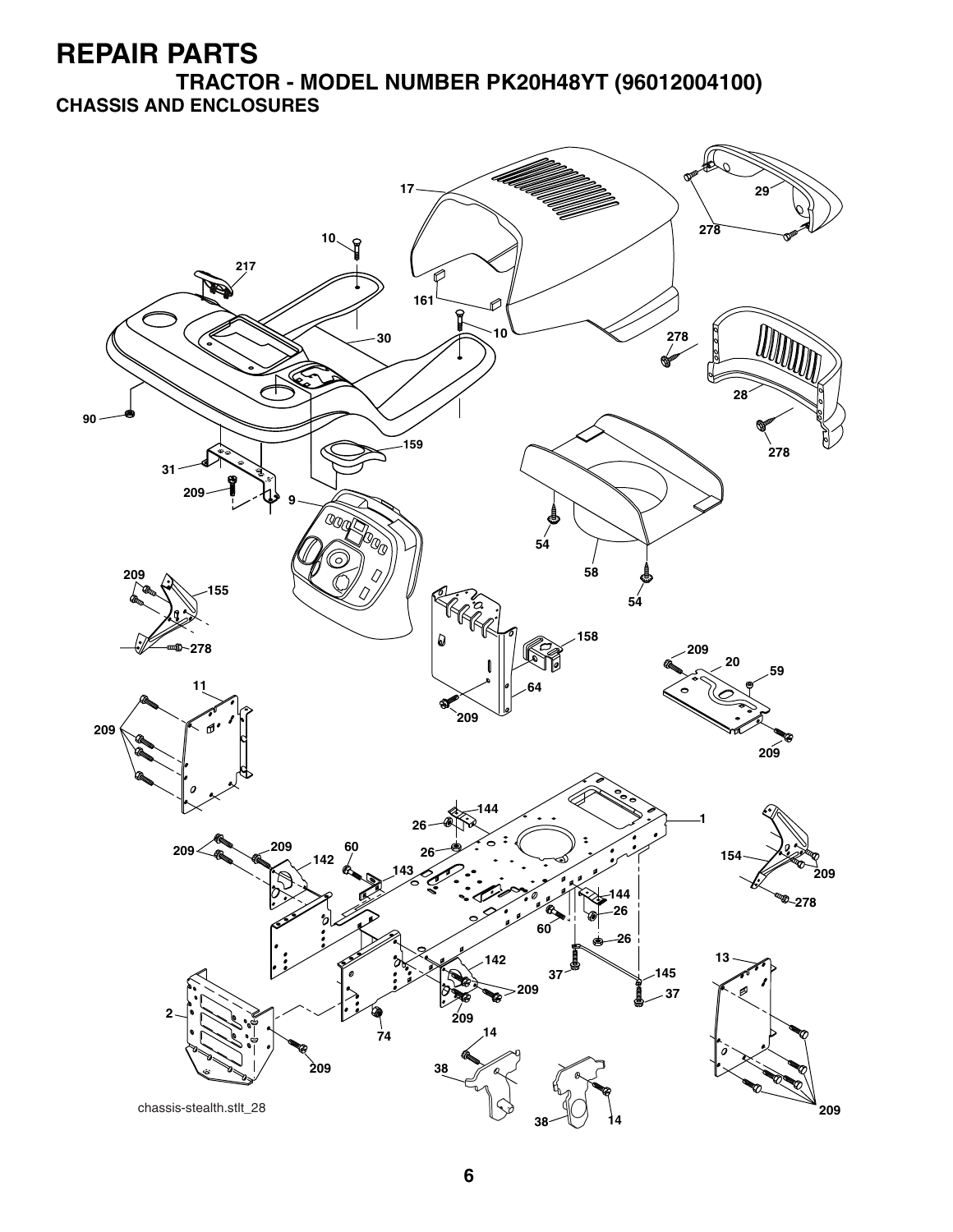**TRACTOR - MODEL NUMBER PK20H48YT (96012004100) CHASSIS AND ENCLOSURES**

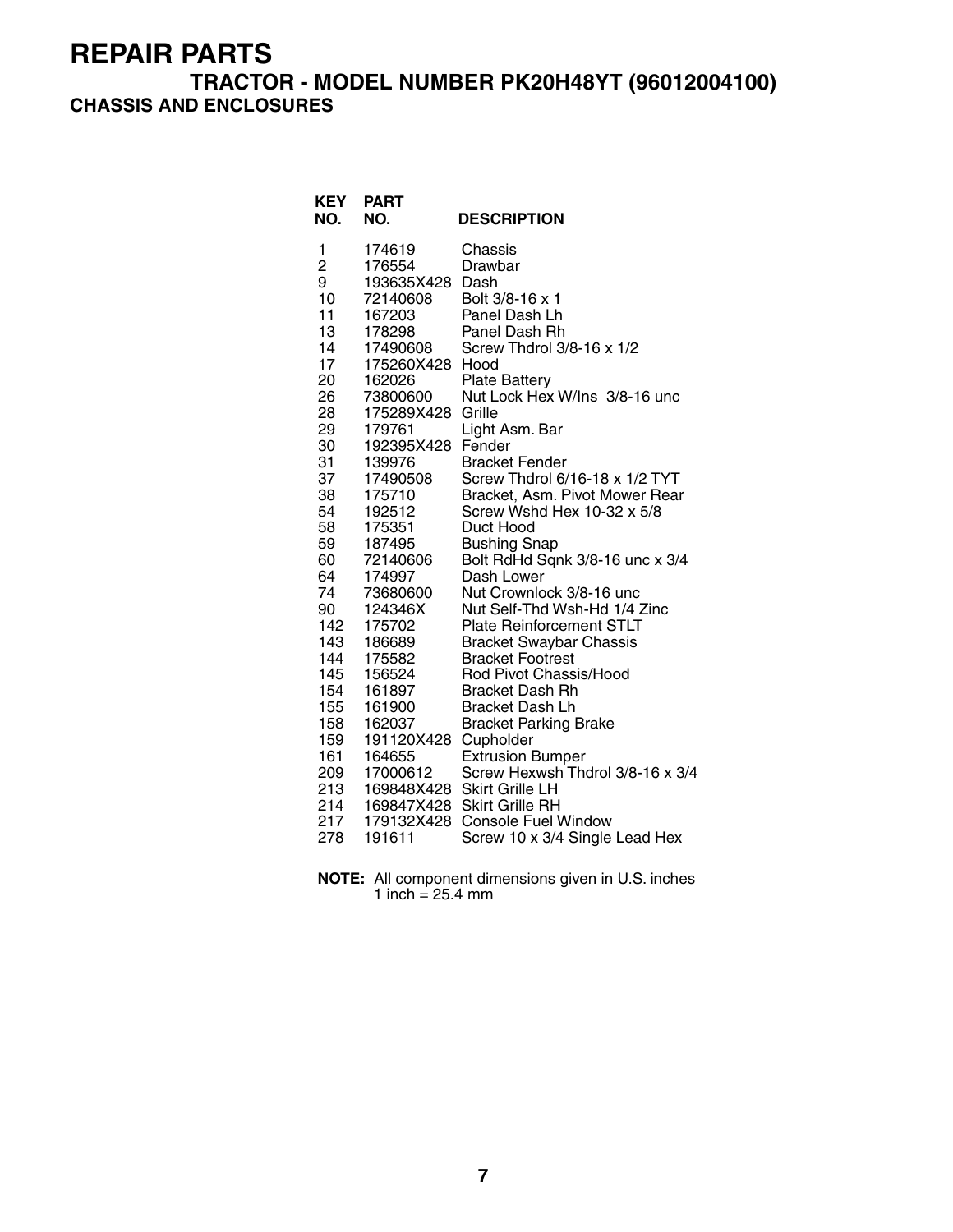#### **TRACTOR - MODEL NUMBER PK20H48YT (96012004100) CHASSIS AND ENCLOSURES**

| KEY<br>NO.     | <b>PART</b><br>NO.     | <b>DESCRIPTION</b>                                     |
|----------------|------------------------|--------------------------------------------------------|
| 1              | 174619                 | Chassis                                                |
| $\overline{c}$ | 176554                 | Drawbar                                                |
| 9              | 193635X428 Dash        |                                                        |
| 10             | 72140608               | Bolt 3/8-16 x 1                                        |
| 11             | 167203                 | Panel Dash Lh                                          |
| 13             | 178298                 | Panel Dash Rh                                          |
| 14             | 17490608               | Screw Thdrol 3/8-16 x 1/2                              |
| 17<br>20       | 175260X428             | Hood                                                   |
| 26             | 162026                 | <b>Plate Battery</b><br>Nut Lock Hex W/Ins 3/8-16 unc  |
| 28             | 73800600<br>175289X428 | Grille                                                 |
| 29             | 179761                 | Light Asm. Bar                                         |
| 30             | 192395X428             | Fender                                                 |
| 31             | 139976                 | <b>Bracket Fender</b>                                  |
| 37             | 17490508               | Screw Thdrol 6/16-18 x 1/2 TYT                         |
| 38             | 175710                 | Bracket, Asm. Pivot Mower Rear                         |
| 54             | 192512                 | Screw Wshd Hex 10-32 x 5/8                             |
| 58             | 175351                 | Duct Hood                                              |
| 59             | 187495                 | <b>Bushing Snap</b>                                    |
| 60             | 72140606               | Bolt RdHd Sqnk 3/8-16 unc x 3/4                        |
| 64             | 174997                 | Dash Lower                                             |
| 74             | 73680600               | Nut Crownlock 3/8-16 unc                               |
| 90             | 124346X                | Nut Self-Thd Wsh-Hd 1/4 Zinc                           |
| 142            | 175702                 | <b>Plate Reinforcement STLT</b>                        |
| 143            | 186689                 | <b>Bracket Swaybar Chassis</b>                         |
| 144            | 175582                 | <b>Bracket Footrest</b>                                |
| 145            | 156524                 | Rod Pivot Chassis/Hood                                 |
| 154            | 161897                 | <b>Bracket Dash Rh</b>                                 |
| 155<br>158     | 161900<br>162037       | <b>Bracket Dash Lh</b><br><b>Bracket Parking Brake</b> |
| 159            | 191120X428             | Cupholder                                              |
| 161            | 164655                 | <b>Extrusion Bumper</b>                                |
| 209            | 17000612               | Screw Hexwsh Thdrol 3/8-16 x 3/4                       |
| 213            |                        | 169848X428 Skirt Grille LH                             |
| 214            |                        | 169847X428 Skirt Grille RH                             |
| 217            |                        | 179132X428 Console Fuel Window                         |
| 278            | 191611                 | Screw 10 x 3/4 Single Lead Hex                         |

**NOTE:** All component dimensions given in U.S. inches 1 inch = 25.4 mm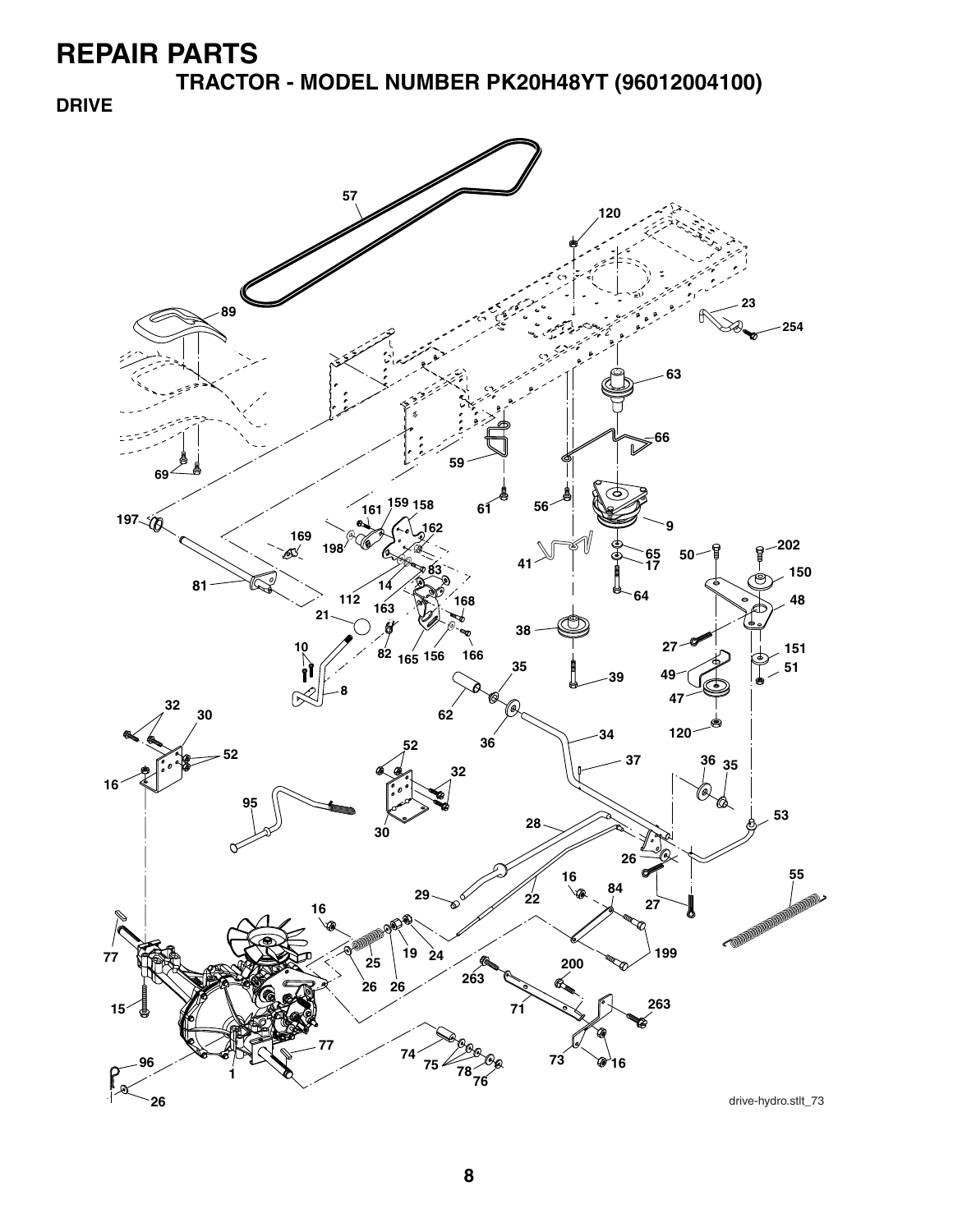**TRACTOR - MODEL NUMBER PK20H48YT (96012004100)**

**DRIVE**

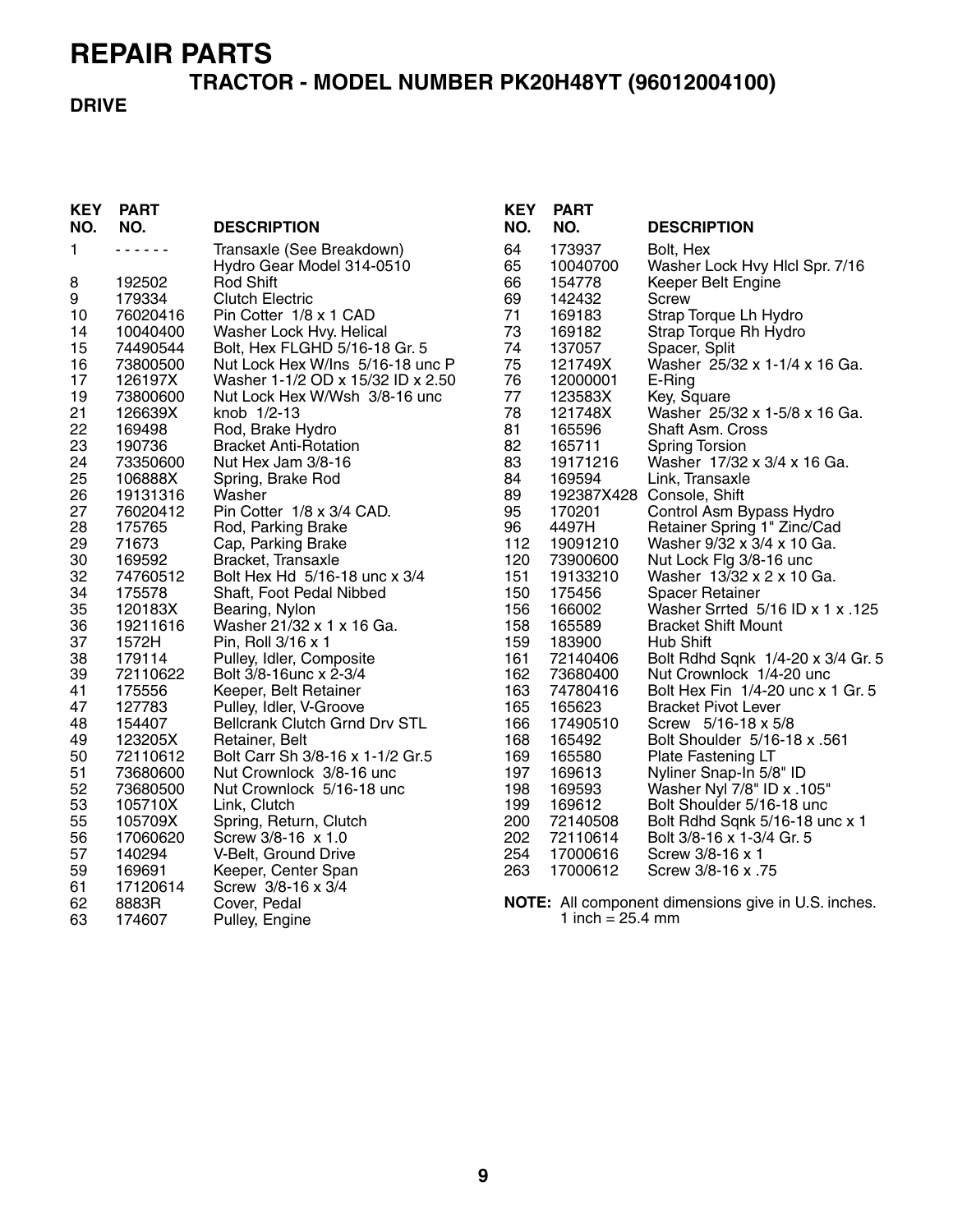# **TRACTOR - MODEL NUMBER PK20H48YT (96012004100)**

#### **DRIVE**

| <b>KEY</b><br>NO. | <b>PART</b><br>NO. | <b>DESCRIPTION</b>                   | <b>KEY</b><br>NO. | <b>PART</b><br>NO.           | <b>DESCRIPTION</b>                                  |
|-------------------|--------------------|--------------------------------------|-------------------|------------------------------|-----------------------------------------------------|
| 1                 | .                  | Transaxle (See Breakdown)            | 64                | 173937                       | Bolt, Hex                                           |
|                   |                    | Hydro Gear Model 314-0510            | 65                | 10040700                     | Washer Lock Hvy Hlcl Spr. 7/16                      |
| 8                 | 192502             | <b>Rod Shift</b>                     | 66                | 154778                       | Keeper Belt Engine                                  |
| 9                 | 179334             | <b>Clutch Electric</b>               | 69                | 142432                       | <b>Screw</b>                                        |
| 10                | 76020416           | Pin Cotter 1/8 x 1 CAD               | 71                | 169183                       | Strap Torque Lh Hydro                               |
| 14                | 10040400           | Washer Lock Hvy. Helical             | 73                | 169182                       | Strap Torque Rh Hydro                               |
| 15                | 74490544           | Bolt, Hex FLGHD 5/16-18 Gr. 5        | 74                | 137057                       | Spacer, Split                                       |
| 16                | 73800500           | Nut Lock Hex W/Ins 5/16-18 unc P     | 75                | 121749X                      | Washer 25/32 x 1-1/4 x 16 Ga.                       |
| 17                | 126197X            | Washer 1-1/2 OD x 15/32 ID x 2.50    | 76                | 12000001                     | E-Ring                                              |
| 19                | 73800600           | Nut Lock Hex W/Wsh 3/8-16 unc        | 77                | 123583X                      | Key, Square                                         |
| 21                | 126639X            | knob 1/2-13                          | 78                | 121748X                      | Washer 25/32 x 1-5/8 x 16 Ga.                       |
| 22                | 169498             | Rod, Brake Hydro                     | 81                | 165596                       | Shaft Asm. Cross                                    |
| 23                | 190736             | <b>Bracket Anti-Rotation</b>         | 82                | 165711                       | <b>Spring Torsion</b>                               |
| 24                | 73350600           | Nut Hex Jam 3/8-16                   | 83                | 19171216                     | Washer 17/32 x 3/4 x 16 Ga.                         |
| 25                | 106888X            | Spring, Brake Rod                    | 84                | 169594                       | Link, Transaxle                                     |
| 26                | 19131316           | Washer                               | 89                |                              | 192387X428 Console, Shift                           |
| 27                | 76020412           | Pin Cotter 1/8 x 3/4 CAD.            | 95                | 170201                       | Control Asm Bypass Hydro                            |
| 28                | 175765             | Rod, Parking Brake                   | 96                | 4497H                        | Retainer Spring 1" Zinc/Cad                         |
| 29                | 71673              | Cap, Parking Brake                   | 112               | 19091210                     | Washer 9/32 x 3/4 x 10 Ga.                          |
| 30                | 169592             | Bracket, Transaxle                   | 120               | 73900600                     | Nut Lock Flg 3/8-16 unc                             |
| 32                | 74760512           | Bolt Hex Hd 5/16-18 unc x 3/4        | 151               | 19133210                     | Washer 13/32 x 2 x 10 Ga.                           |
| 34                | 175578             | Shaft, Foot Pedal Nibbed             | 150               | 175456                       | <b>Spacer Retainer</b>                              |
| 35                | 120183X            | Bearing, Nylon                       | 156               | 166002                       | Washer Srrted 5/16 ID x 1 x .125                    |
| 36                | 19211616           | Washer 21/32 x 1 x 16 Ga.            | 158               | 165589                       | <b>Bracket Shift Mount</b>                          |
| 37                | 1572H              | Pin, Roll 3/16 x 1                   | 159               | 183900                       | Hub Shift                                           |
| 38                | 179114             | Pulley, Idler, Composite             | 161               | 72140406                     | Bolt Rdhd Sqnk 1/4-20 x 3/4 Gr. 5                   |
| 39                | 72110622           | Bolt 3/8-16unc x 2-3/4               | 162               | 73680400                     | Nut Crownlock 1/4-20 unc                            |
| 41                | 175556             | Keeper, Belt Retainer                | 163               | 74780416                     | Bolt Hex Fin 1/4-20 unc x 1 Gr. 5                   |
| 47                | 127783             | Pulley, Idler, V-Groove              | 165               | 165623                       | <b>Bracket Pivot Lever</b>                          |
| 48                | 154407             | <b>Bellcrank Clutch Grnd Drv STL</b> | 166               | 17490510                     | Screw 5/16-18 x 5/8                                 |
| 49                | 123205X            | Retainer, Belt                       | 168               | 165492                       | Bolt Shoulder 5/16-18 x .561                        |
| 50                | 72110612           | Bolt Carr Sh 3/8-16 x 1-1/2 Gr.5     | 169               | 165580                       | Plate Fastening LT                                  |
| 51                | 73680600           | Nut Crownlock 3/8-16 unc             | 197               | 169613                       | Nyliner Snap-In 5/8" ID                             |
| 52                | 73680500           | Nut Crownlock 5/16-18 unc            | 198               | 169593                       | Washer Nyl 7/8" ID x .105"                          |
| 53                | 105710X            | Link, Clutch                         | 199               | 169612                       | Bolt Shoulder 5/16-18 unc                           |
| 55                | 105709X            | Spring, Return, Clutch               | 200               | 72140508                     | Bolt Rdhd Sqnk 5/16-18 unc x 1                      |
| 56                | 17060620           | Screw 3/8-16 x 1.0                   | 202               | 72110614                     | Bolt 3/8-16 x 1-3/4 Gr. 5                           |
| 57                | 140294             | V-Belt, Ground Drive                 | 254               | 17000616                     | Screw 3/8-16 x 1                                    |
| 59                | 169691             | Keeper, Center Span                  | 263               | 17000612                     | Screw 3/8-16 x .75                                  |
| 61                | 17120614           | Screw 3/8-16 x 3/4                   |                   |                              |                                                     |
| 62                | 8883R              | Cover, Pedal                         |                   |                              | NOTE: All component dimensions give in U.S. inches. |
| 63                | 174607             | Pulley, Engine                       |                   | 1 inch = $25.4 \, \text{mm}$ |                                                     |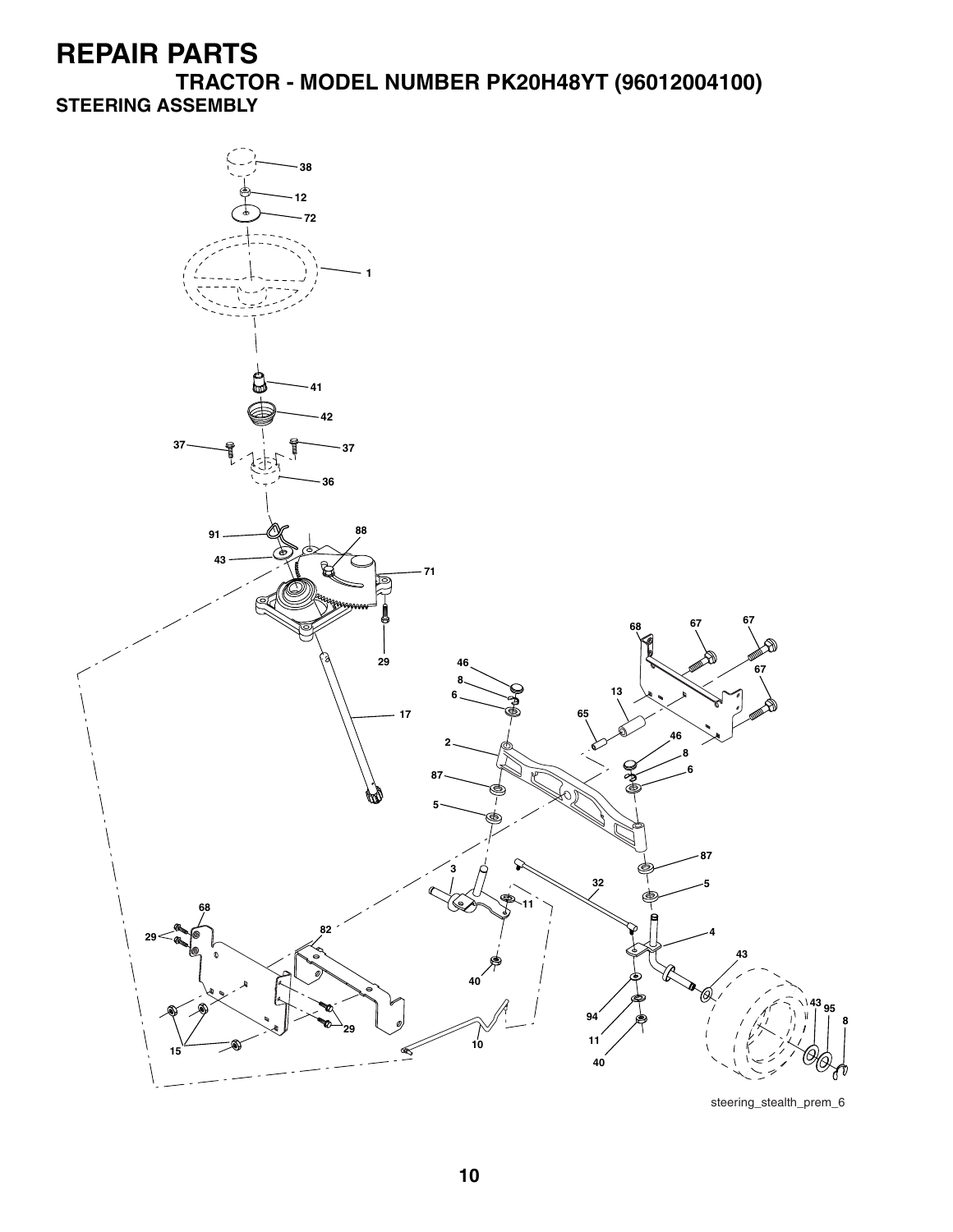**TRACTOR - MODEL NUMBER PK20H48YT (96012004100) STEERING ASSEMBLY**

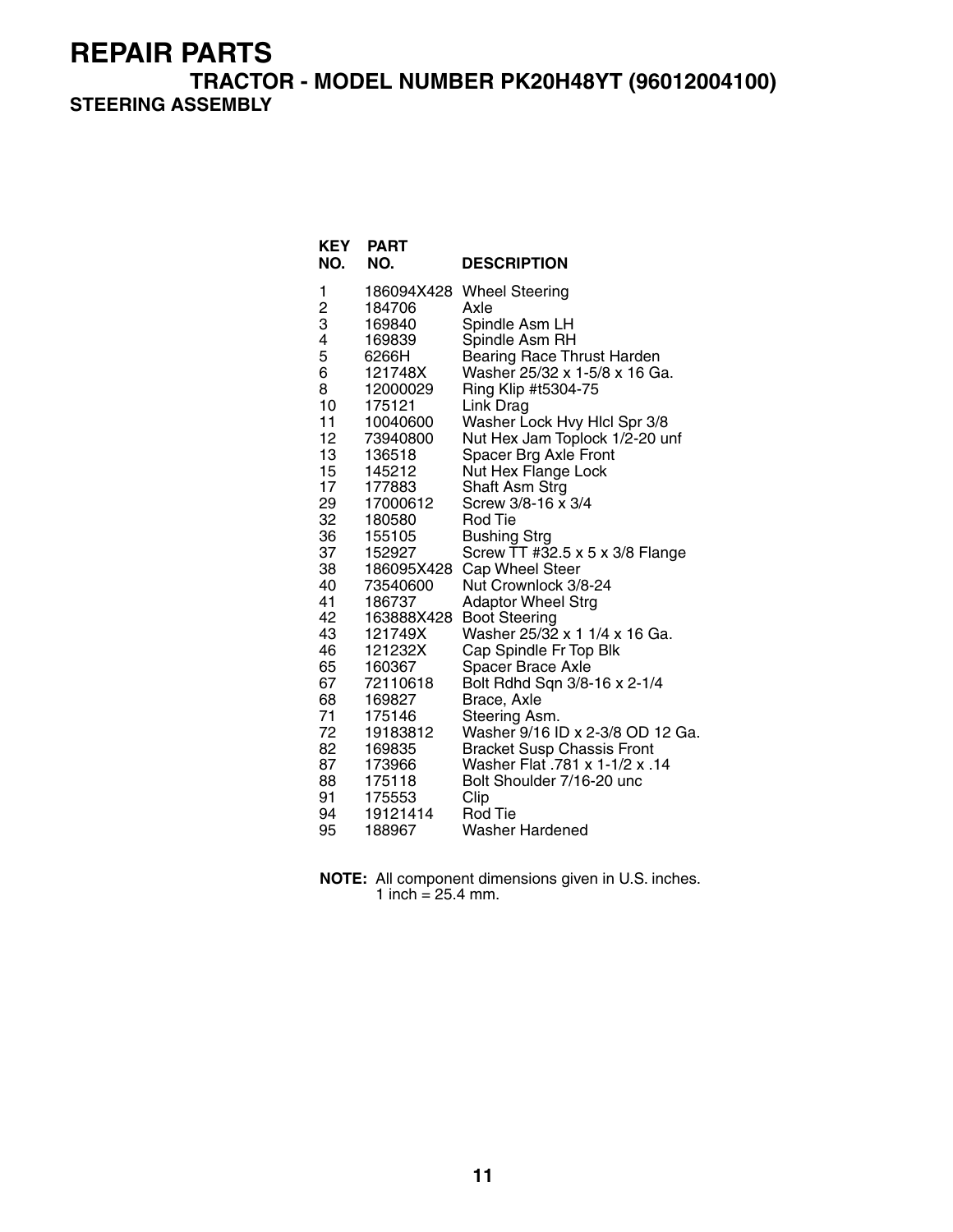**TRACTOR - MODEL NUMBER PK20H48YT (96012004100) STEERING ASSEMBLY**

| <b>KEY</b><br>NO. | <b>PART</b><br>NO. | <b>DESCRIPTION</b>                                                  |
|-------------------|--------------------|---------------------------------------------------------------------|
| 1                 | 186094X428         | <b>Wheel Steering</b>                                               |
| $\frac{2}{3}$     | 184706             | Axle                                                                |
|                   | 169840             | Spindle Asm LH                                                      |
| 4                 | 169839             | Spindle Asm RH                                                      |
| 5                 | 6266H              | <b>Bearing Race Thrust Harden</b>                                   |
| 6                 | 121748X            | Washer 25/32 x 1-5/8 x 16 Ga.                                       |
| 8                 | 12000029           | Ring Klip #t5304-75                                                 |
| 10                | 175121             | Link Drag                                                           |
| 11                | 10040600           | Washer Lock Hvy Hlcl Spr 3/8                                        |
| 12                | 73940800           | Nut Hex Jam Toplock 1/2-20 unf                                      |
| 13<br>15          | 136518<br>145212   | Spacer Brg Axle Front<br>Nut Hex Flange Lock                        |
| 17                | 177883             | Shaft Asm Strg                                                      |
| 29                | 17000612           | Screw 3/8-16 x 3/4                                                  |
| 32                | 180580             | Rod Tie                                                             |
| 36                | 155105             | Bushing Strg                                                        |
| 37                | 152927             | Screw TT #32.5 x 5 x 3/8 Flange                                     |
| 38                | 186095X428         | Cap Wheel Steer                                                     |
| 40                | 73540600           | Nut Crownlock 3/8-24                                                |
| 41                | 186737             | <b>Adaptor Wheel Strg</b>                                           |
| 42                | 163888X428         | <b>Boot Steering</b>                                                |
| 43                | 121749X            | Washer 25/32 x 1 1/4 x 16 Ga.                                       |
| 46                | 121232X            | Cap Spindle Fr Top Blk                                              |
| 65                | 160367             | <b>Spacer Brace Axle</b>                                            |
| 67                | 72110618           | Bolt Rdhd Sqn 3/8-16 x 2-1/4                                        |
| 68                | 169827             | Brace, Axle                                                         |
| 71<br>72          | 175146             | Steering Asm.                                                       |
|                   | 19183812           | Washer 9/16 ID x 2-3/8 OD 12 Ga.                                    |
| 82<br>87          | 169835<br>173966   | <b>Bracket Susp Chassis Front</b><br>Washer Flat .781 x 1-1/2 x .14 |
| 88                | 175118             | Bolt Shoulder 7/16-20 unc                                           |
| 91                | 175553             | Clip                                                                |
| 94                | 19121414           | Rod Tie                                                             |
| 95                | 188967             | Washer Hardened                                                     |

**NOTE:** All component dimensions given in U.S. inches. 1 inch =  $25.4$  mm.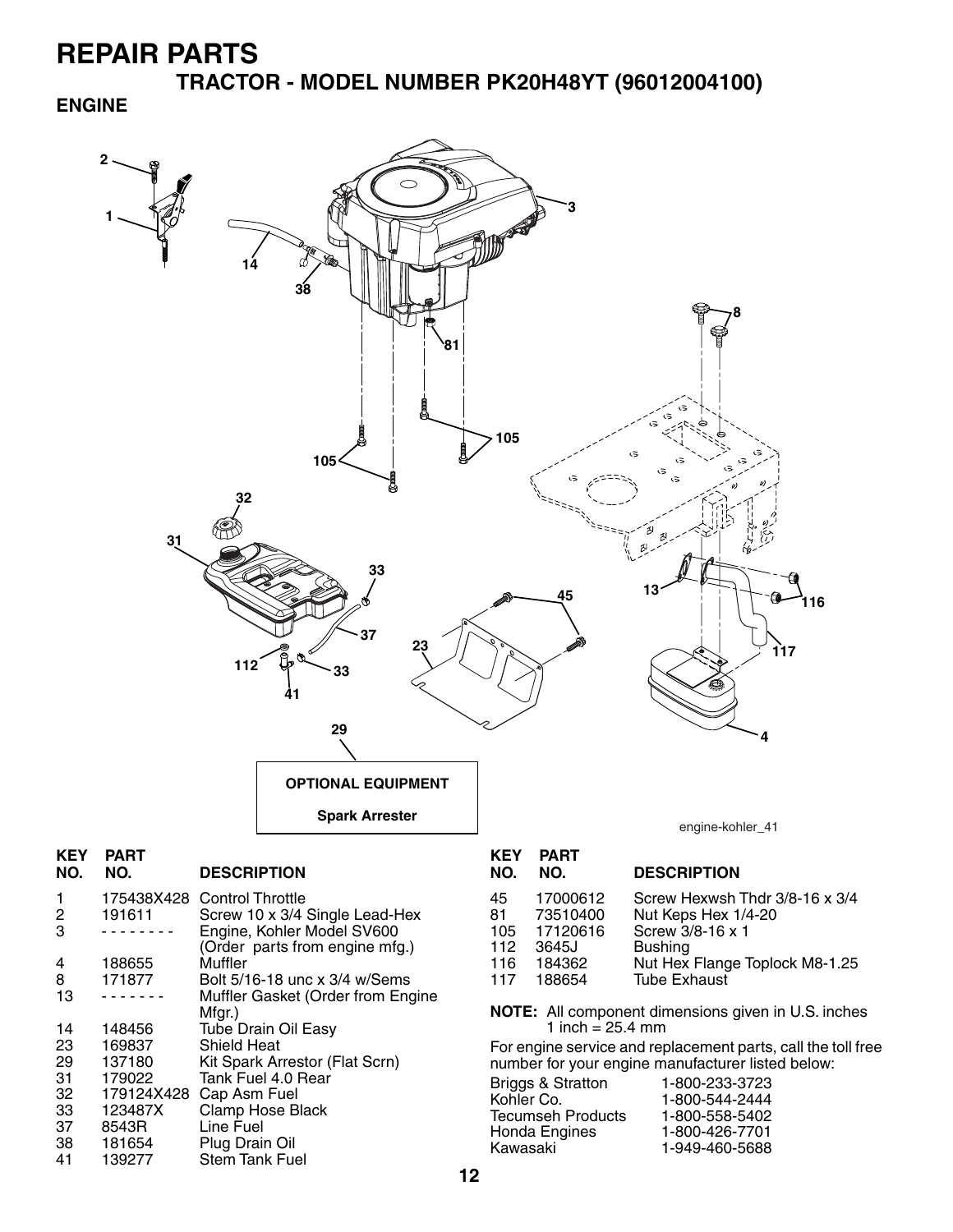38 181654 Plug Drain Oil 139277 Stem Tank Fuel

**TRACTOR - MODEL NUMBER PK20H48YT (96012004100)**

#### **ENGINE**



Honda Engines 1-800-426-7701

Kawasaki 1-949-460-5688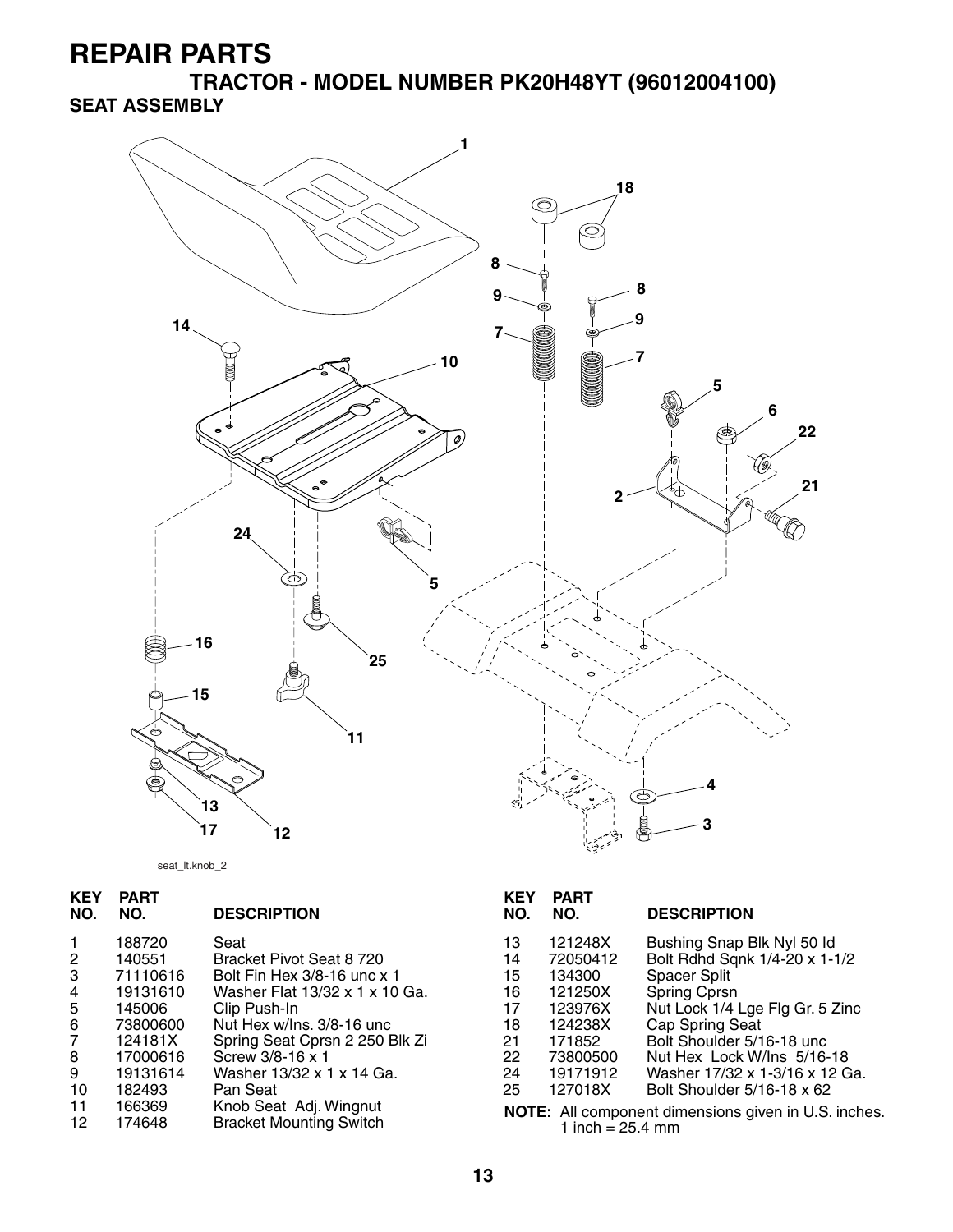**TRACTOR - MODEL NUMBER PK20H48YT (96012004100) SEAT ASSEMBLY**



seat\_lt.knob\_2

| <b>KEY</b><br>NO. | <b>PART</b><br>NO. | <b>DESCRIPTION</b>                                       | <b>KEY</b><br>NO. | <b>PART</b><br>NO. | <b>DESCRIPTION</b>                                   |
|-------------------|--------------------|----------------------------------------------------------|-------------------|--------------------|------------------------------------------------------|
|                   | 188720             | Seat                                                     | 13                | 121248X            | Bushing Snap Blk Nyl 50 ld                           |
| $\overline{2}$    | 140551             | Bracket Pivot Seat 8 720                                 | 14                | 72050412           | Bolt Rdhd Sqnk 1/4-20 x 1-1/2                        |
| 3                 | 71110616           | Bolt Fin Hex 3/8-16 unc x 1                              | 15                | 134300             | <b>Spacer Split</b>                                  |
| 4                 | 19131610           | Washer Flat 13/32 x 1 x 10 Ga.                           | 16                | 121250X            | Spring Cprsn                                         |
| 5                 | 145006             | Clip Push-In                                             | 17                | 123976X            | Nut Lock 1/4 Lge Flg Gr. 5 Zinc                      |
| 6                 | 73800600           | Nut Hex w/Ins. 3/8-16 unc                                | 18                | 124238X            | Cap Spring Seat                                      |
| $\overline{7}$    | 124181X            | Spring Seat Cprsn 2 250 Blk Zi                           | 21                | 171852             | Bolt Shoulder 5/16-18 unc                            |
| 8                 | 17000616           | Screw 3/8-16 x 1                                         | 22                | 73800500           | Nut Hex Lock W/Ins 5/16-18                           |
| 9                 | 19131614           | Washer 13/32 x 1 x 14 Ga.                                | 24                | 19171912           | Washer 17/32 x 1-3/16 x 12 Ga.                       |
| 10                | 182493             | Pan Seat                                                 | 25                | 127018X            | Bolt Shoulder 5/16-18 x 62                           |
| 11<br>12          | 166369<br>174648   | Knob Seat Adj. Wingnut<br><b>Bracket Mounting Switch</b> |                   | 1 inch = $25.4$ mm | NOTE: All component dimensions given in U.S. inches. |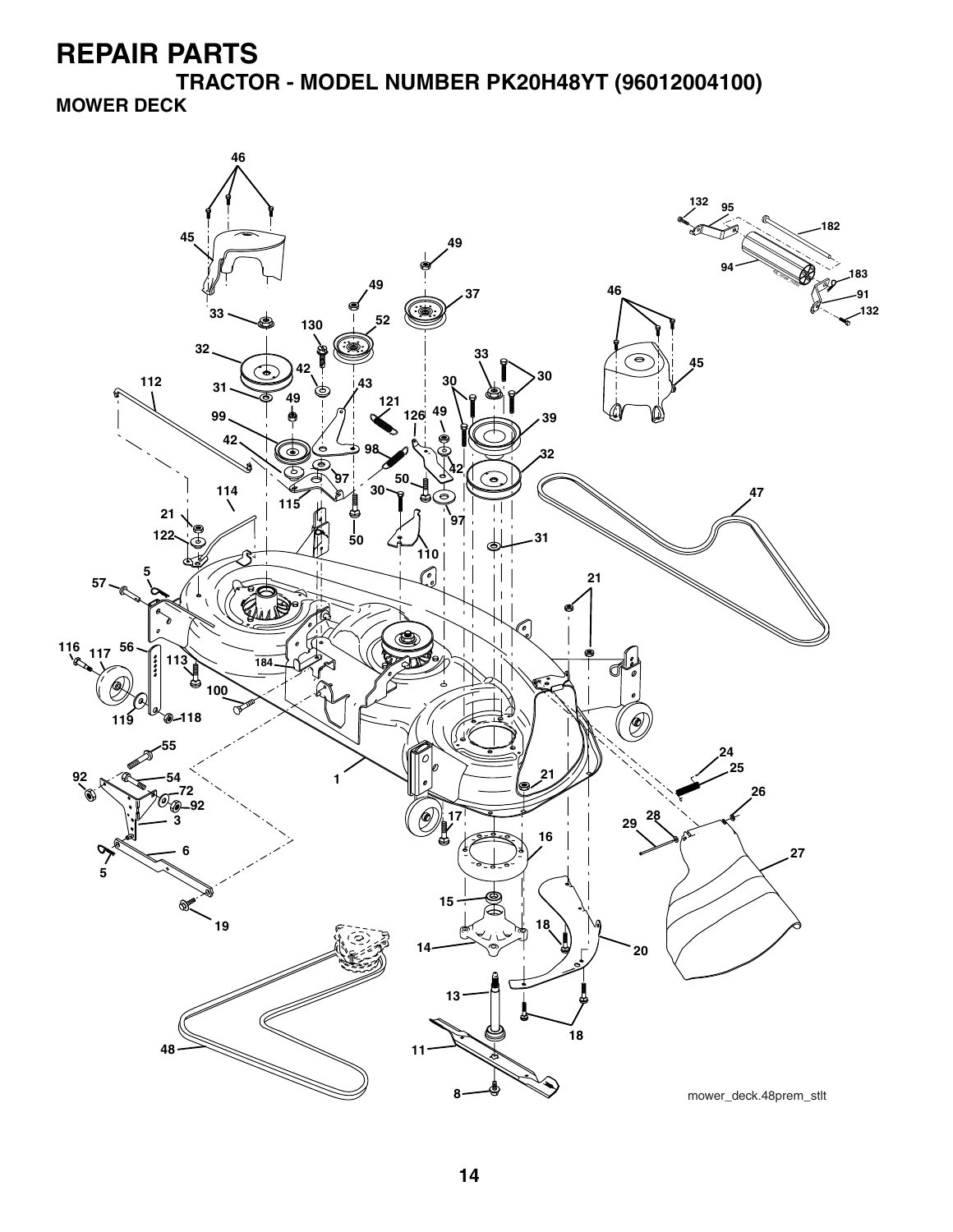**TRACTOR - MODEL NUMBER PK20H48YT (96012004100) MOWER DECK**

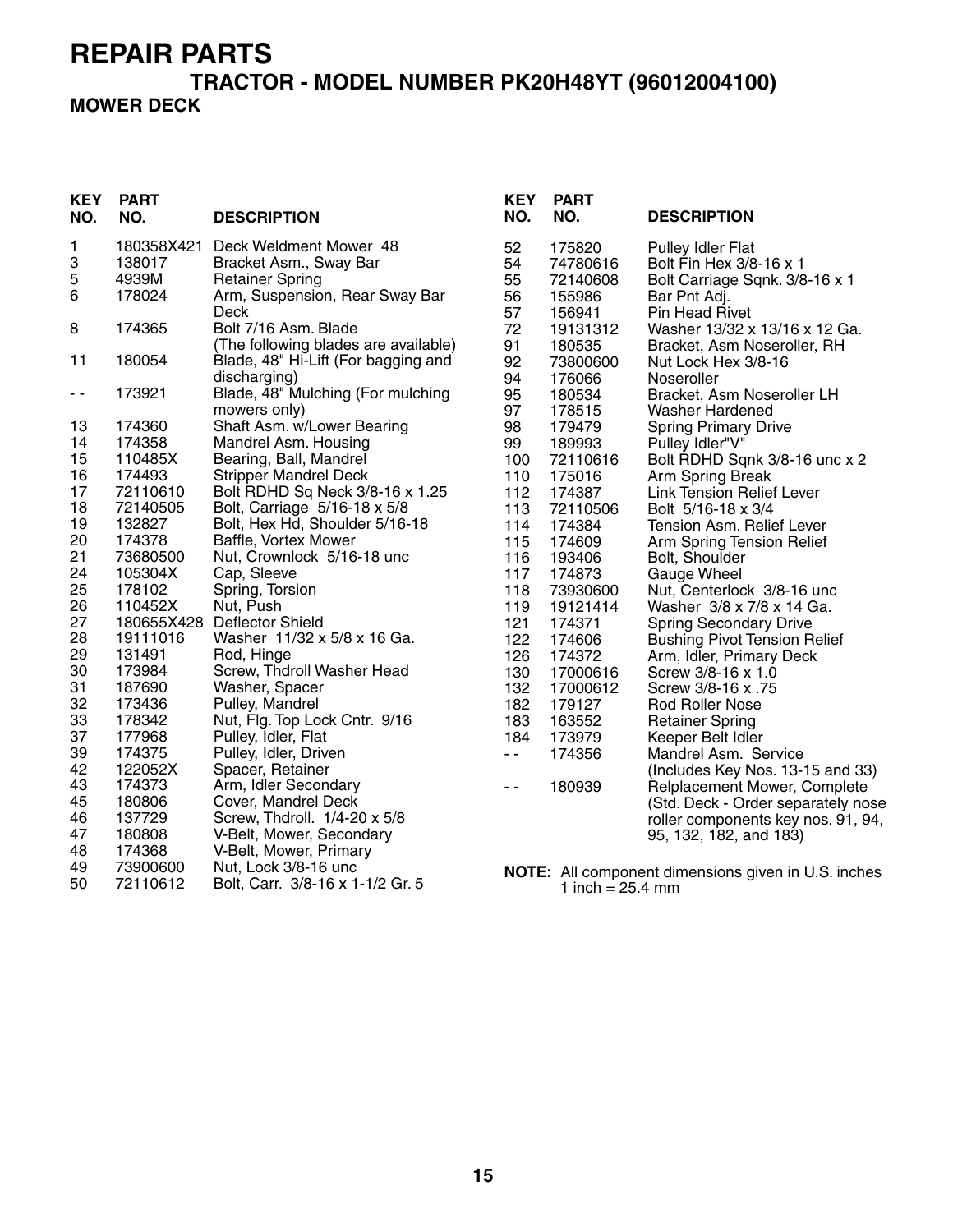#### **TRACTOR - MODEL NUMBER PK20H48YT (96012004100) MOWER DECK**

| <b>KEY</b><br>NO. | <b>PART</b><br>NO.   | <b>DESCRIPTION</b>                                              | <b>KEY</b><br>NO. | <b>PART</b><br>NO.           | <b>DESCRIPTION</b>                                           |
|-------------------|----------------------|-----------------------------------------------------------------|-------------------|------------------------------|--------------------------------------------------------------|
| 1<br>3            | 180358X421<br>138017 | Deck Weldment Mower 48<br>Bracket Asm., Sway Bar                | 52<br>54          | 175820<br>74780616           | <b>Pulley Idler Flat</b><br>Bolt Fin Hex 3/8-16 x 1          |
| 5                 | 4939M                | <b>Retainer Spring</b>                                          | 55                | 72140608                     | Bolt Carriage Sqnk. 3/8-16 x 1                               |
| $\,6$             | 178024               | Arm, Suspension, Rear Sway Bar                                  | 56                | 155986                       | Bar Pnt Adj.                                                 |
|                   |                      | Deck                                                            | 57                | 156941                       | Pin Head Rivet                                               |
| 8                 | 174365               | Bolt 7/16 Asm. Blade                                            | 72                | 19131312                     | Washer 13/32 x 13/16 x 12 Ga.                                |
| 11                | 180054               | (The following blades are available)                            | 91                | 180535                       | Bracket, Asm Noseroller, RH                                  |
|                   |                      | Blade, 48" Hi-Lift (For bagging and<br>discharging)             | 92<br>94          | 73800600<br>176066           | Nut Lock Hex 3/8-16<br>Noseroller                            |
| - -               | 173921               | Blade, 48" Mulching (For mulching                               | 95                | 180534                       | Bracket, Asm Noseroller LH                                   |
|                   |                      | mowers only)                                                    | 97                | 178515                       | <b>Washer Hardened</b>                                       |
| 13                | 174360               | Shaft Asm. w/Lower Bearing                                      | 98                | 179479                       | <b>Spring Primary Drive</b>                                  |
| 14                | 174358               | Mandrel Asm. Housing                                            | 99                | 189993                       | Pulley Idler"V"                                              |
| 15                | 110485X              | Bearing, Ball, Mandrel                                          | 100               | 72110616                     | Bolt RDHD Sqnk 3/8-16 unc x 2                                |
| 16                | 174493               | <b>Stripper Mandrel Deck</b>                                    | 110               | 175016                       | Arm Spring Break                                             |
| 17<br>18          | 72110610<br>72140505 | Bolt RDHD Sq Neck 3/8-16 x 1.25<br>Bolt, Carriage 5/16-18 x 5/8 | 112<br>113        | 174387<br>72110506           | <b>Link Tension Relief Lever</b><br>Bolt 5/16-18 x 3/4       |
| 19                | 132827               | Bolt, Hex Hd, Shoulder 5/16-18                                  | 114               | 174384                       | <b>Tension Asm. Relief Lever</b>                             |
| 20                | 174378               | Baffle, Vortex Mower                                            | 115               | 174609                       | Arm Spring Tension Relief                                    |
| 21                | 73680500             | Nut, Crownlock 5/16-18 unc                                      | 116               | 193406                       | Bolt, Shoulder                                               |
| 24                | 105304X              | Cap, Sleeve                                                     | 117               | 174873                       | Gauge Wheel                                                  |
| 25                | 178102               | Spring, Torsion                                                 | 118               | 73930600                     | Nut, Centerlock 3/8-16 unc                                   |
| 26                | 110452X              | Nut, Push                                                       | 119               | 19121414                     | Washer 3/8 x 7/8 x 14 Ga.                                    |
| 27                |                      | 180655X428 Deflector Shield                                     | 121               | 174371                       | <b>Spring Secondary Drive</b>                                |
| 28<br>29          | 19111016<br>131491   | Washer 11/32 x 5/8 x 16 Ga.                                     | 122               | 174606                       | <b>Bushing Pivot Tension Relief</b>                          |
| 30                | 173984               | Rod, Hinge<br>Screw, Thdroll Washer Head                        | 126<br>130        | 174372<br>17000616           | Arm, Idler, Primary Deck<br>Screw 3/8-16 x 1.0               |
| 31                | 187690               | Washer, Spacer                                                  | 132               | 17000612                     | Screw 3/8-16 x .75                                           |
| 32                | 173436               | Pulley, Mandrel                                                 | 182               | 179127                       | <b>Rod Roller Nose</b>                                       |
| 33                | 178342               | Nut, Flg. Top Lock Cntr. 9/16                                   | 183               | 163552                       | <b>Retainer Spring</b>                                       |
| 37                | 177968               | Pulley, Idler, Flat                                             | 184               | 173979                       | Keeper Belt Idler                                            |
| 39                | 174375               | Pulley, Idler, Driven                                           | $ -$              | 174356                       | Mandrel Asm. Service                                         |
| 42                | 122052X              | Spacer, Retainer                                                |                   |                              | (Includes Key Nos. 13-15 and 33)                             |
| 43                | 174373               | Arm, Idler Secondary                                            | $\sim$ $\sim$     | 180939                       | Relplacement Mower, Complete                                 |
| 45<br>46          | 180806<br>137729     | Cover, Mandrel Deck<br>Screw, Thdroll. 1/4-20 x 5/8             |                   |                              | (Std. Deck - Order separately nose                           |
| 47                | 180808               | V-Belt, Mower, Secondary                                        |                   |                              | roller components key nos. 91, 94,<br>95, 132, 182, and 183) |
| 48                | 174368               | V-Belt, Mower, Primary                                          |                   |                              |                                                              |
| 49                | 73900600             | Nut, Lock 3/8-16 unc                                            |                   |                              | NOTE: All component dimensions given in U.S. inches          |
| 50                | 72110612             | Bolt, Carr. 3/8-16 x 1-1/2 Gr. 5                                |                   | 1 inch = $25.4 \, \text{mm}$ |                                                              |